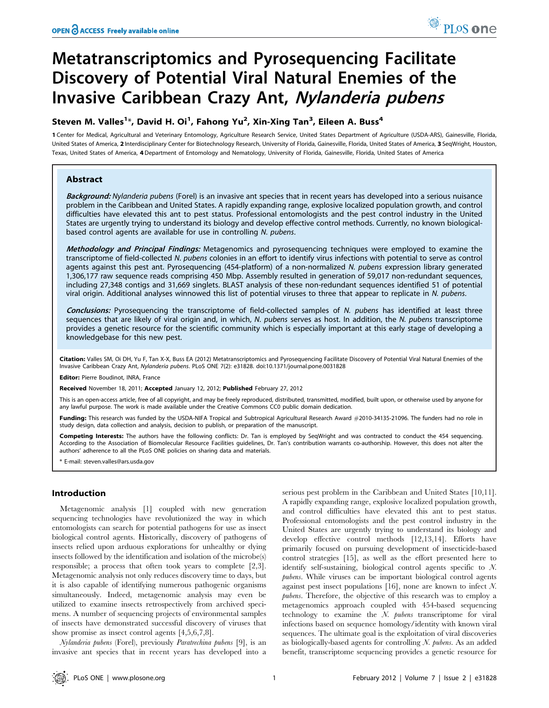# Metatranscriptomics and Pyrosequencing Facilitate Discovery of Potential Viral Natural Enemies of the Invasive Caribbean Crazy Ant, Nylanderia pubens

# Steven M. Valles<sup>1</sup>\*, David H. Oi<sup>1</sup>, Fahong Yu<sup>2</sup>, Xin-Xing Tan<sup>3</sup>, Eileen A. Buss<sup>4</sup>

1 Center for Medical, Agricultural and Veterinary Entomology, Agriculture Research Service, United States Department of Agriculture (USDA-ARS), Gainesville, Florida, United States of America, 2 Interdisciplinary Center for Biotechnology Research, University of Florida, Gainesville, Florida, United States of America, 3 SegWright, Houston, Texas, United States of America, 4 Department of Entomology and Nematology, University of Florida, Gainesville, Florida, United States of America

# Abstract

Background: Nylanderia pubens (Forel) is an invasive ant species that in recent years has developed into a serious nuisance problem in the Caribbean and United States. A rapidly expanding range, explosive localized population growth, and control difficulties have elevated this ant to pest status. Professional entomologists and the pest control industry in the United States are urgently trying to understand its biology and develop effective control methods. Currently, no known biologicalbased control agents are available for use in controlling N. pubens.

Methodology and Principal Findings: Metagenomics and pyrosequencing techniques were employed to examine the transcriptome of field-collected N. pubens colonies in an effort to identify virus infections with potential to serve as control agents against this pest ant. Pyrosequencing (454-platform) of a non-normalized N. pubens expression library generated 1,306,177 raw sequence reads comprising 450 Mbp. Assembly resulted in generation of 59,017 non-redundant sequences, including 27,348 contigs and 31,669 singlets. BLAST analysis of these non-redundant sequences identified 51 of potential viral origin. Additional analyses winnowed this list of potential viruses to three that appear to replicate in N. pubens.

Conclusions: Pyrosequencing the transcriptome of field-collected samples of N. pubens has identified at least three sequences that are likely of viral origin and, in which, N. pubens serves as host. In addition, the N. pubens transcriptome provides a genetic resource for the scientific community which is especially important at this early stage of developing a knowledgebase for this new pest.

Citation: Valles SM, Oi DH, Yu F, Tan X-X, Buss EA (2012) Metatranscriptomics and Pyrosequencing Facilitate Discovery of Potential Viral Natural Enemies of the Invasive Caribbean Crazy Ant, Nylanderia pubens. PLoS ONE 7(2): e31828. doi:10.1371/journal.pone.0031828

Editor: Pierre Boudinot, INRA, France

Received November 18, 2011; Accepted January 12, 2012; Published February 27, 2012

This is an open-access article, free of all copyright, and may be freely reproduced, distributed, transmitted, modified, built upon, or otherwise used by anyone for any lawful purpose. The work is made available under the Creative Commons CC0 public domain dedication.

Funding: This research was funded by the USDA-NIFA Tropical and Subtropical Agricultural Research Award #2010-34135-21096. The funders had no role in study design, data collection and analysis, decision to publish, or preparation of the manuscript.

Competing Interests: The authors have the following conflicts: Dr. Tan is employed by SeqWright and was contracted to conduct the 454 sequencing. According to the Association of Biomolecular Resource Facilities guidelines, Dr. Tan's contribution warrants co-authorship. However, this does not alter the authors' adherence to all the PLoS ONE policies on sharing data and materials.

E-mail: steven.valles@ars.usda.gov

# Introduction

Metagenomic analysis [1] coupled with new generation sequencing technologies have revolutionized the way in which entomologists can search for potential pathogens for use as insect biological control agents. Historically, discovery of pathogens of insects relied upon arduous explorations for unhealthy or dying insects followed by the identification and isolation of the microbe(s) responsible; a process that often took years to complete [2,3]. Metagenomic analysis not only reduces discovery time to days, but it is also capable of identifying numerous pathogenic organisms simultaneously. Indeed, metagenomic analysis may even be utilized to examine insects retrospectively from archived specimens. A number of sequencing projects of environmental samples of insects have demonstrated successful discovery of viruses that show promise as insect control agents [4,5,6,7,8].

Nylanderia pubens (Forel), previously Paratrechina pubens [9], is an invasive ant species that in recent years has developed into a serious pest problem in the Caribbean and United States [10,11]. A rapidly expanding range, explosive localized population growth, and control difficulties have elevated this ant to pest status. Professional entomologists and the pest control industry in the United States are urgently trying to understand its biology and develop effective control methods [12,13,14]. Efforts have primarily focused on pursuing development of insecticide-based control strategies [15], as well as the effort presented here to identify self-sustaining, biological control agents specific to N. pubens. While viruses can be important biological control agents against pest insect populations [16], none are known to infect N. pubens. Therefore, the objective of this research was to employ a metagenomics approach coupled with 454-based sequencing technology to examine the N. pubens transcriptome for viral infections based on sequence homology/identity with known viral sequences. The ultimate goal is the exploitation of viral discoveries as biologically-based agents for controlling  $N$ . pubens. As an added benefit, transcriptome sequencing provides a genetic resource for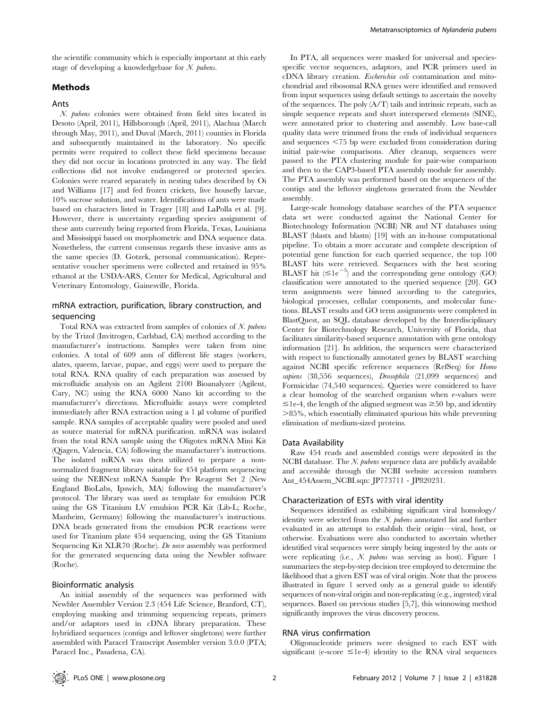the scientific community which is especially important at this early stage of developing a knowledgebase for N. pubens.

# Methods

## Ants

N. pubens colonies were obtained from field sites located in Desoto (April, 2011), Hillsborough (April, 2011), Alachua (March through May, 2011), and Duval (March, 2011) counties in Florida and subsequently maintained in the laboratory. No specific permits were required to collect these field specimens because they did not occur in locations protected in any way. The field collections did not involve endangered or protected species. Colonies were reared separately in nesting tubes described by Oi and Williams [17] and fed frozen crickets, live housefly larvae, 10% sucrose solution, and water. Identifications of ants were made based on characters listed in Trager [18] and LaPolla et al. [9]. However, there is uncertainty regarding species assignment of these ants currently being reported from Florida, Texas, Louisiana and Mississippi based on morphometric and DNA sequence data. Nonetheless, the current consensus regards these invasive ants as the same species (D. Gotzek, personal communication). Representative voucher specimens were collected and retained in 95% ethanol at the USDA-ARS, Center for Medical, Agricultural and Veterinary Entomology, Gainesville, Florida.

# mRNA extraction, purification, library construction, and sequencing

Total RNA was extracted from samples of colonies of  $N$ . pubens by the Trizol (Invitrogen, Carlsbad, CA) method according to the manufacturer's instructions. Samples were taken from nine colonies. A total of 609 ants of different life stages (workers, alates, queens, larvae, pupae, and eggs) were used to prepare the total RNA. RNA quality of each preparation was assessed by microfluidic analysis on an Agilent 2100 Bioanalyzer (Agilent, Cary, NC) using the RNA 6000 Nano kit according to the manufacturer's directions. Microfluidic assays were completed immediately after RNA extraction using a  $1 \mu l$  volume of purified sample. RNA samples of acceptable quality were pooled and used as source material for mRNA purification. mRNA was isolated from the total RNA sample using the Oligotex mRNA Mini Kit (Qiagen, Valencia, CA) following the manufacturer's instructions. The isolated mRNA was then utilized to prepare a nonnormalized fragment library suitable for 454 platform sequencing using the NEBNext mRNA Sample Pre Reagent Set 2 (New England BioLabs, Ipswich, MA) following the manufacturer's protocol. The library was used as template for emulsion PCR using the GS Titanium LV emulsion PCR Kit (Lib-L; Roche, Manheim, Germany) following the manufacturer's instructions. DNA beads generated from the emulsion PCR reactions were used for Titanium plate 454 sequencing, using the GS Titanium Sequencing Kit XLR70 (Roche). De novo assembly was performed for the generated sequencing data using the Newbler software (Roche).

## Bioinformatic analysis

An initial assembly of the sequences was performed with Newbler Assembler Version 2.3 (454 Life Science, Branford, CT), employing masking and trimming sequencing repeats, primers and/or adaptors used in cDNA library preparation. These hybridized sequences (contigs and leftover singletons) were further assembled with Paracel Transcript Assembler version 3.0.0 (PTA; Paracel Inc., Pasadena, CA).

In PTA, all sequences were masked for universal and speciesspecific vector sequences, adaptors, and PCR primers used in cDNA library creation. Escherichia coli contamination and mitochondrial and ribosomal RNA genes were identified and removed from input sequences using default settings to ascertain the novelty of the sequences. The poly (A/T) tails and intrinsic repeats, such as simple sequence repeats and short interspersed elements (SINE), were annotated prior to clustering and assembly. Low base-call quality data were trimmed from the ends of individual sequences and sequences  $\leq$ 75 bp were excluded from consideration during initial pair-wise comparisons. After cleanup, sequences were passed to the PTA clustering module for pair-wise comparison and then to the CAP3-based PTA assembly module for assembly. The PTA assembly was performed based on the sequences of the contigs and the leftover singletons generated from the Newbler assembly.

Large-scale homology database searches of the PTA sequence data set were conducted against the National Center for Biotechnology Information (NCBI) NR and NT databases using BLAST (blastx and blastn) [19] with an in-house computational pipeline. To obtain a more accurate and complete description of potential gene function for each queried sequence, the top 100 BLAST hits were retrieved. Sequences with the best scoring BLAST hit  $(\leq 1e^{-5})$  and the corresponding gene ontology (GO) classification were annotated to the queried sequence [20]. GO term assignments were binned according to the categories, biological processes, cellular components, and molecular functions. BLAST results and GO term assignments were completed in BlastQuest, an SQL database developed by the Interdisciplinary Center for Biotechnology Research, University of Florida, that facilitates similarity-based sequence annotation with gene ontology information [21]. In addition, the sequences were characterized with respect to functionally annotated genes by BLAST searching against NCBI specific reference sequences (RefSeq) for Homo sapiens (38,556 sequences), Drosophila (21,099 sequences) and Formicidae (74,540 sequences). Queries were considered to have a clear homolog of the searched organism when e-values were  $\leq$  1e-4, the length of the aligned segment was  $\geq$  50 bp, and identity  $>85\%$ , which essentially eliminated spurious hits while preventing elimination of medium-sized proteins.

#### Data Availability

Raw 454 reads and assembled contigs were deposited in the NCBI database. The N. pubens sequence data are publicly available and accessible through the NCBI website accession numbers Ant\_454Assem\_NCBI.sqn: JP773711 - JP820231.

#### Characterization of ESTs with viral identity

Sequences identified as exhibiting significant viral homology/ identity were selected from the N. pubens annotated list and further evaluated in an attempt to establish their origin—viral, host, or otherwise. Evaluations were also conducted to ascertain whether identified viral sequences were simply being ingested by the ants or were replicating (i.e., N. pubens was serving as host). Figure 1 summarizes the step-by-step decision tree employed to determine the likelihood that a given EST was of viral origin. Note that the process illustrated in figure 1 served only as a general guide to identify sequences of non-viral origin and non-replicating (e.g., ingested) viral sequences. Based on previous studies [5,7], this winnowing method significantly improves the virus discovery process.

#### RNA virus confirmation

Oligonucleotide primers were designed to each EST with significant (e-score  $\leq$ 1e-4) identity to the RNA viral sequences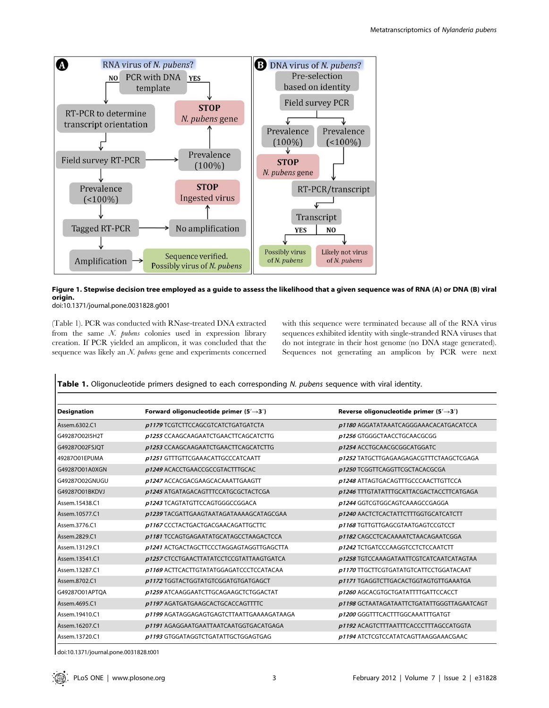

# Figure 1. Stepwise decision tree employed as a guide to assess the likelihood that a given sequence was of RNA (A) or DNA (B) viral origin.

doi:10.1371/journal.pone.0031828.g001

(Table 1). PCR was conducted with RNase-treated DNA extracted from the same N. pubens colonies used in expression library creation. If PCR yielded an amplicon, it was concluded that the sequence was likely an N. pubens gene and experiments concerned with this sequence were terminated because all of the RNA virus sequences exhibited identity with single-stranded RNA viruses that do not integrate in their host genome (no DNA stage generated). Sequences not generating an amplicon by PCR were next

Table 1. Oligonucleotide primers designed to each corresponding N. pubens sequence with viral identity.

| <b>Designation</b> | Forward oligonucleotide primer $(5' \rightarrow 3')$ | Reverse oligonucleotide primer $(5' \rightarrow 3')$ |
|--------------------|------------------------------------------------------|------------------------------------------------------|
| Assem.6302.C1      | p1179 TCGTCTTCCAGCGTCATCTGATGATCTA                   | p1180 AGGATATAAATCAGGGAAACACATGACATCCA               |
| G49287O0215H2T     | p1255 CCAAGCAAGAATCTGAACTTCAGCATCTTG                 | p1256 GTGGGCTAACCTGCAACGCGG                          |
| G49287O02FSJQT     | p1253 CCAAGCAAGAATCTGAACTTCAGCATCTTG                 | p1254 ACCTGCAACGCGGCATGGATC                          |
| 49287O01EPUMA      | p1251 GTTTGTTCGAAACATTGCCCATCAATT                    | p1252 TATGCTTGAGAAGAGACGTTTCTAAGCTCGAGA              |
| G49287O01A0XGN     | p1249 ACACCTGAACCGCCGTACTTTGCAC                      | p1250 TCGGTTCAGGTTCGCTACACGCGA                       |
| G49287O02GNUGU     | p1247 ACCACGACGAAGCACAAATTGAAGTT                     | p1248 ATTAGTGACAGTTTGCCCAACTTGTTCCA                  |
| G49287O01BKDVJ     | p1245 ATGATAGACAGTTTCCATGCGCTACTCGA                  | p1246 TTTGTATATTTGCATTACGACTACCTTCATGAGA             |
| Assem.15438.C1     | p1243 TCAGTATGTTCCAGTGGGCCGGACA                      | p1244 GGTCGTGGCAGTCAAAGCCGAGGA                       |
| Assem.10577.C1     | p1239 TACGATTGAAGTAATAGATAAAAGCATAGCGAA              | p1240 AACTCTCACTATTCTTTGGTGCATCATCTT                 |
| Assem.3776.C1      | p1167 CCCTACTGACTGACGAACAGATTGCTTC                   | p1168 TGTTGTTGAGCGTAATGAGTCCGTCCT                    |
| Assem.2829.C1      | p1181 TCCAGTGAGAATATGCATAGCCTAAGACTCCA               | p1182 CAGCCTCACAAAATCTAACAGAATCGGA                   |
| Assem.13129.C1     | p1241 ACTGACTAGCTTCCCTAGGAGTAGGTTGAGCTTA             | p1242 TCTGATCCCAAGGTCCTCTCCAATCTT                    |
| Assem.13541.C1     | p1257 CTCCTGAACTTATATCCTCCGTATTAAGTGATCA             | p1258 TGTCCAAAGATAATTCGTCATCAATCATAGTAA              |
| Assem.13287.C1     | p1169 ACTTCACTTGTATATGGAGATCCCTCCATACAA              | p1170 TTGCTTCGTGATATGTCATTCCTGGATACAAT               |
| Assem.8702.C1      | p1172 TGGTACTGGTATGTCGGATGTGATGAGCT                  | p1171 TGAGGTCTTGACACTGGTAGTGTTGAAATGA                |
| G49287O01APTOA     | p1259 ATCAAGGAATCTTGCAGAAGCTCTGGACTAT                | p1260 AGCACGTGCTGATATTTTGATTCCACCT                   |
| Assem.4695.C1      | p1197 AGATGATGAAGCACTGCACCAGTTTTC                    | p1198 GCTAATAGATAATTCTGATATTGGGTTAGAATCAGT           |
| Assem.19410.C1     | p1199 AGATAGGAGAGTGAGTCTTAATTGAAAAGATAAGA            | p1200 GGGTTTCACTTTGGCAAATTTGATGT                     |
| Assem.16207.C1     | p1191 AGAGGAATGAATTAATCAATGGTGACATGAGA               | p1192 ACAGTCTTTAATTTCACCCTTTAGCCATGGTA               |
| Assem.13720.C1     | p1193 GTGGATAGGTCTGATATTGCTGGAGTGAG                  | p1194 ATCTCGTCCATATCAGTTAAGGAAACGAAC                 |

doi:10.1371/journal.pone.0031828.t001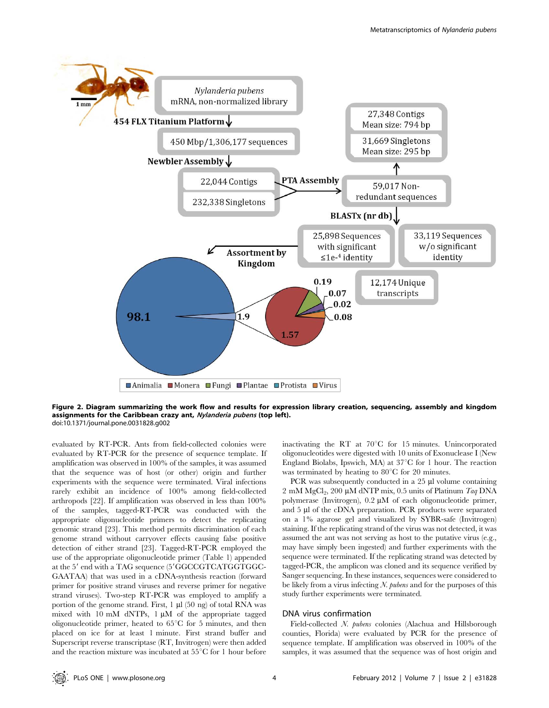

Figure 2. Diagram summarizing the work flow and results for expression library creation, sequencing, assembly and kingdom assignments for the Caribbean crazy ant, Nylanderia pubens (top left). doi:10.1371/journal.pone.0031828.g002

evaluated by RT-PCR. Ants from field-collected colonies were evaluated by RT-PCR for the presence of sequence template. If amplification was observed in 100% of the samples, it was assumed that the sequence was of host (or other) origin and further experiments with the sequence were terminated. Viral infections rarely exhibit an incidence of 100% among field-collected arthropods [22]. If amplification was observed in less than 100% of the samples, tagged-RT-PCR was conducted with the appropriate oligonucleotide primers to detect the replicating genomic strand [23]. This method permits discrimination of each genome strand without carryover effects causing false positive detection of either strand [23]. Tagged-RT-PCR employed the use of the appropriate oligonucleotide primer (Table 1) appended at the 5' end with a TAG sequence (5'GGCCGTCATGGTGGC-GAATAA) that was used in a cDNA-synthesis reaction (forward primer for positive strand viruses and reverse primer for negative strand viruses). Two-step RT-PCR was employed to amplify a portion of the genome strand. First,  $1 \mu$ l (50 ng) of total RNA was mixed with 10 mM dNTPs,  $1 \mu M$  of the appropriate tagged oligonucleotide primer, heated to  $65^{\circ}$ C for 5 minutes, and then placed on ice for at least 1 minute. First strand buffer and Superscript reverse transcriptase (RT, Invitrogen) were then added and the reaction mixture was incubated at  $55^{\circ}$ C for 1 hour before

inactivating the RT at  $70^{\circ}$ C for 15 minutes. Unincorporated oligonucleotides were digested with 10 units of Exonuclease I (New England Biolabs, Ipswich, MA) at  $37^{\circ}$ C for 1 hour. The reaction was terminated by heating to  $80^{\circ}$ C for 20 minutes.

PCR was subsequently conducted in a 25 µl volume containing 2 mM MgCl<sub>2</sub>, 200 µM dNTP mix, 0.5 units of Platinum  $Tag$  DNA polymerase (Invitrogen),  $0.2 \mu M$  of each oligonucleotide primer, and 5 µ of the cDNA preparation. PCR products were separated on a 1% agarose gel and visualized by SYBR-safe (Invitrogen) staining. If the replicating strand of the virus was not detected, it was assumed the ant was not serving as host to the putative virus (e.g., may have simply been ingested) and further experiments with the sequence were terminated. If the replicating strand was detected by tagged-PCR, the amplicon was cloned and its sequence verified by Sanger sequencing. In these instances, sequences were considered to be likely from a virus infecting  $N$ . pubens and for the purposes of this study further experiments were terminated.

# DNA virus confirmation

Field-collected N. pubens colonies (Alachua and Hillsborough counties, Florida) were evaluated by PCR for the presence of sequence template. If amplification was observed in 100% of the samples, it was assumed that the sequence was of host origin and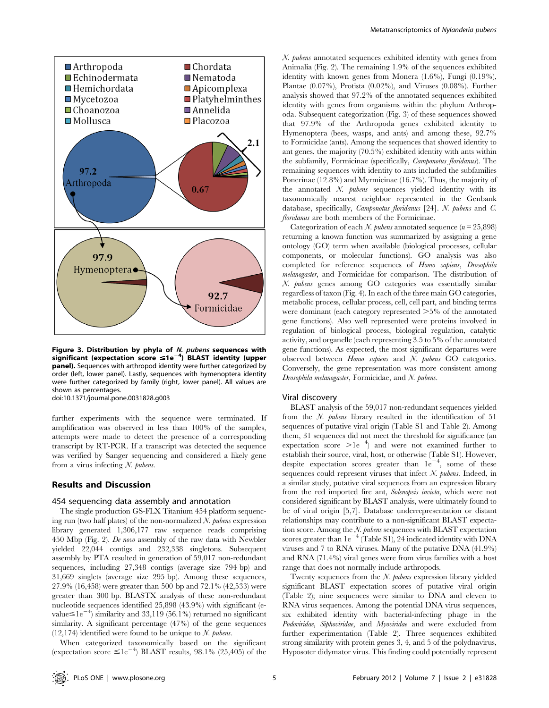

Figure 3. Distribution by phyla of *N. pubens* sequences with<br>significant (expectation score ≤1e<sup>−4</sup>) BLAST identity (upper panel). Sequences with arthropod identity were further categorized by order (left, lower panel). Lastly, sequences with hymenoptera identity were further categorized by family (right, lower panel). All values are shown as percentages.

doi:10.1371/journal.pone.0031828.g003

further experiments with the sequence were terminated. If amplification was observed in less than 100% of the samples, attempts were made to detect the presence of a corresponding transcript by RT-PCR. If a transcript was detected the sequence was verified by Sanger sequencing and considered a likely gene from a virus infecting N. pubens.

## Results and Discussion

#### 454 sequencing data assembly and annotation

The single production GS-FLX Titanium 454 platform sequencing run (two half plates) of the non-normalized  $N$ . pubens expression library generated 1,306,177 raw sequence reads comprising 450 Mbp (Fig. 2). De novo assembly of the raw data with Newbler yielded 22,044 contigs and 232,338 singletons. Subsequent assembly by PTA resulted in generation of 59,017 non-redundant sequences, including 27,348 contigs (average size 794 bp) and 31,669 singlets (average size 295 bp). Among these sequences, 27.9% (16,458) were greater than 500 bp and 72.1% (42,533) were greater than 300 bp. BLASTX analysis of these non-redundant nucleotide sequences identified 25,898 (43.9%) with significant (evalue  $\leq$  1e<sup>-4</sup>) similarity and 33,119 (56.1%) returned no significant similarity. A significant percentage (47%) of the gene sequences  $(12,174)$  identified were found to be unique to N. pubens.

When categorized taxonomically based on the significant (expectation score  $\leq$ 1e<sup>-4</sup>) BLAST results, 98.1% (25,405) of the

N. pubens annotated sequences exhibited identity with genes from Animalia (Fig. 2). The remaining 1.9% of the sequences exhibited identity with known genes from Monera (1.6%), Fungi (0.19%), Plantae (0.07%), Protista (0.02%), and Viruses (0.08%). Further analysis showed that 97.2% of the annotated sequences exhibited identity with genes from organisms within the phylum Arthropoda. Subsequent categorization (Fig. 3) of these sequences showed that 97.9% of the Arthropoda genes exhibited identity to Hymenoptera (bees, wasps, and ants) and among these, 92.7% to Formicidae (ants). Among the sequences that showed identity to ant genes, the majority (70.5%) exhibited identity with ants within the subfamily, Formicinae (specifically, Camponotus floridanus). The remaining sequences with identity to ants included the subfamilies Ponerinae (12.8%) and Myrmicinae (16.7%). Thus, the majority of the annotated N. pubens sequences yielded identity with its taxonomically nearest neighbor represented in the Genbank database, specifically, Camponotus floridanus [24]. N. pubens and C. floridanus are both members of the Formicinae.

Categorization of each N. pubens annotated sequence ( $n=25,898$ ) returning a known function was summarized by assigning a gene ontology (GO) term when available (biological processes, cellular components, or molecular functions). GO analysis was also completed for reference sequences of Homo sapiens, Drosophila melanogaster, and Formicidae for comparison. The distribution of N. pubens genes among GO categories was essentially similar regardless of taxon (Fig. 4). In each of the three main GO categories, metabolic process, cellular process, cell, cell part, and binding terms were dominant (each category represented  $>5\%$  of the annotated gene functions). Also well represented were proteins involved in regulation of biological process, biological regulation, catalytic activity, and organelle (each representing 3.5 to 5% of the annotated gene functions). As expected, the most significant departures were observed between Homo sapiens and N. pubens GO categories. Conversely, the gene representation was more consistent among Drosophila melanogaster, Formicidae, and N. pubens.

#### Viral discovery

BLAST analysis of the 59,017 non-redundant sequences yielded from the N. pubens library resulted in the identification of 51 sequences of putative viral origin (Table S1 and Table 2). Among them, 31 sequences did not meet the threshold for significance (an expectation score  $>1e^{-4}$  and were not examined further to establish their source, viral, host, or otherwise (Table S1). However, despite expectation scores greater than  $1e^{-4}$ , some of these sequences could represent viruses that infect N. pubens. Indeed, in a similar study, putative viral sequences from an expression library from the red imported fire ant, Solenopsis invicta, which were not considered significant by BLAST analysis, were ultimately found to be of viral origin [5,7]. Database underrepresentation or distant relationships may contribute to a non-significant BLAST expectation score. Among the  $N$ . pubens sequences with BLAST expectation scores greater than  $1e^{-4}$  (Table S1), 24 indicated identity with DNA viruses and 7 to RNA viruses. Many of the putative DNA (41.9%) and RNA (71.4%) viral genes were from virus families with a host range that does not normally include arthropods.

Twenty sequences from the N. pubens expression library yielded significant BLAST expectation scores of putative viral origin (Table 2); nine sequences were similar to DNA and eleven to RNA virus sequences. Among the potential DNA virus sequences, six exhibited identity with bacterial-infecting phage in the Podoviridae, Siphoviridae, and Myoviridae and were excluded from further experimentation (Table 2). Three sequences exhibited strong similarity with protein genes 3, 4, and 5 of the polydnavirus, Hyposoter didymator virus. This finding could potentially represent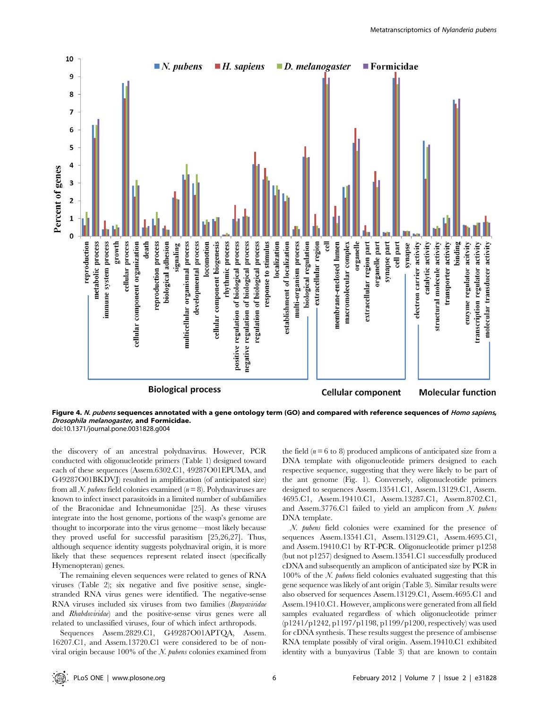

Figure 4. N. pubens sequences annotated with a gene ontology term (GO) and compared with reference sequences of Homo sapiens, Drosophila melanogaster, and Formicidae. doi:10.1371/journal.pone.0031828.g004

the discovery of an ancestral polydnavirus. However, PCR conducted with oligonucleotide primers (Table 1) designed toward each of these sequences (Assem.6302.C1, 49287O01EPUMA, and G49287O01BKDVJ) resulted in amplification (of anticipated size) from all N. pubens field colonies examined  $(n = 8)$ . Polydnaviruses are known to infect insect parasitoids in a limited number of subfamilies of the Braconidae and Ichneumonidae [25]. As these viruses integrate into the host genome, portions of the wasp's genome are thought to incorporate into the virus genome—most likely because they proved useful for successful parasitism [25,26,27]. Thus, although sequence identity suggests polydnaviral origin, it is more likely that these sequences represent related insect (specifically Hymenopteran) genes.

The remaining eleven sequences were related to genes of RNA viruses (Table 2); six negative and five positive sense, singlestranded RNA virus genes were identified. The negative-sense RNA viruses included six viruses from two families (Bunyaviridae and Rhabdoviridae) and the positive-sense virus genes were all related to unclassified viruses, four of which infect arthropods.

Sequences Assem.2829.C1, G49287O01APTQA, Assem. 16207.C1, and Assem.13720.C1 were considered to be of nonviral origin because 100% of the N. pubens colonies examined from the field  $(n = 6$  to 8) produced amplicons of anticipated size from a DNA template with oligonucleotide primers designed to each respective sequence, suggesting that they were likely to be part of the ant genome (Fig. 1). Conversely, oligonucleotide primers designed to sequences Assem.13541.C1, Assem.13129.C1, Assem. 4695.C1, Assem.19410.C1, Assem.13287.C1, Assem.8702.C1, and Assem.3776.C1 failed to yield an amplicon from  $N$ . pubens DNA template.

N. pubens field colonies were examined for the presence of sequences Assem.13541.C1, Assem.13129.C1, Assem.4695.C1, and Assem.19410.C1 by RT-PCR. Oligonucleotide primer p1258 (but not p1257) designed to Assem.13541.C1 successfully produced cDNA and subsequently an amplicon of anticipated size by PCR in 100% of the N. pubens field colonies evaluated suggesting that this gene sequence was likely of ant origin (Table 3). Similar results were also observed for sequences Assem.13129.C1, Assem.4695.C1 and Assem.19410.C1. However, amplicons were generated from all field samples evaluated regardless of which oligonucleotide primer (p1241/p1242, p1197/p1198, p1199/p1200, respectively) was used for cDNA synthesis. These results suggest the presence of ambisense RNA template possibly of viral origin. Assem.19410.C1 exhibited identity with a bunyavirus (Table 3) that are known to contain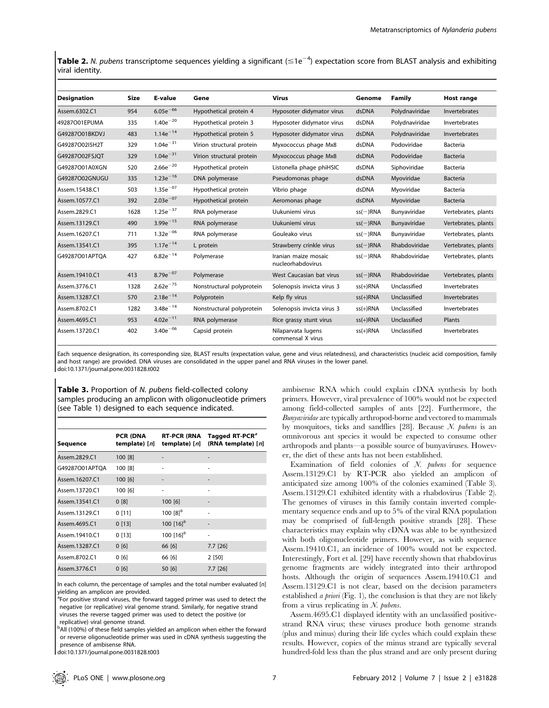**Table 2.** N. pubens transcriptome sequences yielding a significant ( $\leq 1e^{-4}$ ) expectation score from BLAST analysis and exhibiting viral identity.

| Designation      | Size | E-value       | Gene                      | <b>Virus</b>                              | Genome      | Family         | Host range           |
|------------------|------|---------------|---------------------------|-------------------------------------------|-------------|----------------|----------------------|
| Assem.6302.C1    | 954  | $6.05e^{-66}$ | Hypothetical protein 4    | Hyposoter didymator virus                 | dsDNA       | Polydnaviridae | Invertebrates        |
| 49287O01EPUMA    | 335  | $1.40e^{-20}$ | Hypothetical protein 3    | Hyposoter didymator virus                 | dsDNA       | Polydnaviridae | <b>Invertebrates</b> |
| G49287O01BKDVJ   | 483  | $1.14e^{-14}$ | Hypothetical protein 5    | Hyposoter didymator virus                 | dsDNA       | Polydnaviridae | <b>Invertebrates</b> |
| G49287O02I5H2T   | 329  | $1.04e^{-31}$ | Virion structural protein | Myxococcus phage Mx8                      | dsDNA       | Podoviridae    | Bacteria             |
| G49287O02FSJQT   | 329  | $1.04e^{-31}$ | Virion structural protein | Myxococcus phage Mx8                      | dsDNA       | Podoviridae    | <b>Bacteria</b>      |
| G49287O01A0XGN   | 520  | $2.66e^{-20}$ | Hypothetical protein      | Listonella phage phiHSIC                  | dsDNA       | Siphoviridae   | Bacteria             |
| G49287O02GNUGU   | 335  | $1.23e^{-16}$ | DNA polymerase            | Pseudomonas phage                         | dsDNA       | Myoviridae     | <b>Bacteria</b>      |
| Assem.15438.C1   | 503  | $1.35e^{-07}$ | Hypothetical protein      | Vibrio phage                              | dsDNA       | Myoviridae     | Bacteria             |
| Assem.10577.C1   | 392  | $2.03e^{-07}$ | Hypothetical protein      | Aeromonas phage                           | dsDNA       | Myoviridae     | <b>Bacteria</b>      |
| Assem.2829.C1    | 1628 | $1.25e^{-37}$ | RNA polymerase            | Uukuniemi virus                           | $ss(-)$ RNA | Bunyaviridae   | Vertebrates, plants  |
| Assem.13129.C1   | 490  | $3.99e^{-15}$ | RNA polymerase            | Uukuniemi virus                           | $ss(-)RNA$  | Bunyaviridae   | Vertebrates, plants  |
| Assem.16207.C1   | 711  | $1.32e^{-06}$ | RNA polymerase            | Gouleako virus                            | $ss(-)RNA$  | Bunyaviridae   | Vertebrates, plants  |
| Assem.13541.C1   | 395  | $1.17e^{-14}$ | L protein                 | Strawberry crinkle virus                  | $ss(-)RNA$  | Rhabdoviridae  | Vertebrates, plants  |
| l G49287O01APTOA | 427  | $6.82e^{-14}$ | Polymerase                | Iranian maize mosaic<br>nucleorhabdovirus | $ss(-)$ RNA | Rhabdoviridae  | Vertebrates, plants  |
| Assem.19410.C1   | 413  | $8.79e^{-07}$ | Polymerase                | West Caucasian bat virus                  | $ss(-)RNA$  | Rhabdoviridae  | Vertebrates, plants  |
| Assem.3776.C1    | 1328 | $2.62e^{-75}$ | Nonstructural polyprotein | Solenopsis invicta virus 3                | $ss(+)$ RNA | Unclassified   | Invertebrates        |
| Assem.13287.C1   | 570  | $2.18e^{-14}$ | Polyprotein               | Kelp fly virus                            | $ss(+)$ RNA | Unclassified   | <b>Invertebrates</b> |
| Assem.8702.C1    | 1282 | $3.48e^{-14}$ | Nonstructural polyprotein | Solenopsis invicta virus 3                | $ss(+)$ RNA | Unclassified   | <b>Invertebrates</b> |
| Assem.4695.C1    | 953  | $4.02e^{-11}$ | RNA polymerase            | Rice grassy stunt virus                   | $ss(+)$ RNA | Unclassified   | Plants               |
| Assem.13720.C1   | 402  | $3.40e^{-06}$ | Capsid protein            | Nilaparvata lugens<br>commensal X virus   | $ss(+)$ RNA | Unclassified   | Invertebrates        |

Each sequence designation, its corresponding size, BLAST results (expectation value, gene and virus relatedness), and characteristics (nucleic acid composition, family and host range) are provided. DNA viruses are consolidated in the upper panel and RNA viruses in the lower panel. doi:10.1371/journal.pone.0031828.t002

Table 3. Proportion of N. pubens field-collected colony samples producing an amplicon with oligonucleotide primers (see Table 1) designed to each sequence indicated.

| Sequence       | <b>PCR (DNA</b><br>template) [n] | RT-PCR (RNA<br>template) [n] | Tagged RT-PCR <sup>a</sup><br>(RNA template) [n] |
|----------------|----------------------------------|------------------------------|--------------------------------------------------|
| Assem.2829.C1  | 100 [8]                          |                              |                                                  |
| G49287O01APTQA | 100 [8]                          |                              |                                                  |
| Assem.16207.C1 | 100 [6]                          |                              |                                                  |
| Assem.13720.C1 | 100 [6]                          | ٠                            | ٠                                                |
| Assem.13541.C1 | 0 <sup>[8]</sup>                 | 100 [6]                      |                                                  |
| Assem.13129.C1 | 0[11]                            | 100 $[8]^{b}$                |                                                  |
| Assem.4695.C1  | 0[13]                            | 100 $[16]$ <sup>b</sup>      |                                                  |
| Assem.19410.C1 | 0[13]                            | 100 $[16]^{b}$               |                                                  |
| Assem.13287.C1 | 0 [6]                            | 66 [6]                       | $7.7$ [26]                                       |
| Assem.8702.C1  | 0 [6]                            | 66 [6]                       | 2 [50]                                           |
| Assem.3776.C1  | 0[6]                             | 50 [6]                       | $7.7$ [26]                                       |

In each column, the percentage of samples and the total number evaluated [n] yielding an amplicon are provided.

<sup>a</sup>For positive strand viruses, the forward tagged primer was used to detect the negative (or replicative) viral genome strand. Similarly, for negative strand viruses the reverse tagged primer was used to detect the positive (or replicative) viral genome strand.

<sup>b</sup>All (100%) of these field samples yielded an amplicon when either the forward or reverse oligonucleotide primer was used in cDNA synthesis suggesting the presence of ambisense RNA.

doi:10.1371/journal.pone.0031828.t003

ambisense RNA which could explain cDNA synthesis by both primers. However, viral prevalence of 100% would not be expected among field-collected samples of ants [22]. Furthermore, the Bunyaviridae are typically arthropod-borne and vectored to mammals by mosquitoes, ticks and sandflies [28]. Because N. pubens is an omnivorous ant species it would be expected to consume other arthropods and plants—a possible source of bunyaviruses. However, the diet of these ants has not been established.

Examination of field colonies of  $N$ . pubens for sequence Assem.13129.C1 by RT-PCR also yielded an amplicon of anticipated size among 100% of the colonies examined (Table 3). Assem.13129.C1 exhibited identity with a rhabdovirus (Table 2). The genomes of viruses in this family contain inverted complementary sequence ends and up to 5% of the viral RNA population may be comprised of full-length positive strands [28]. These characteristics may explain why cDNA was able to be synthesized with both oligonucleotide primers. However, as with sequence Assem.19410.C1, an incidence of 100% would not be expected. Interestingly, Fort et al. [29] have recently shown that rhabdovirus genome fragments are widely integrated into their arthropod hosts. Although the origin of sequences Assem.19410.C1 and Assem.13129.C1 is not clear, based on the decision parameters established *a priori* (Fig. 1), the conclusion is that they are not likely from a virus replicating in N. pubens.

Assem.4695.C1 displayed identity with an unclassified positivestrand RNA virus; these viruses produce both genome strands (plus and minus) during their life cycles which could explain these results. However, copies of the minus strand are typically several hundred-fold less than the plus strand and are only present during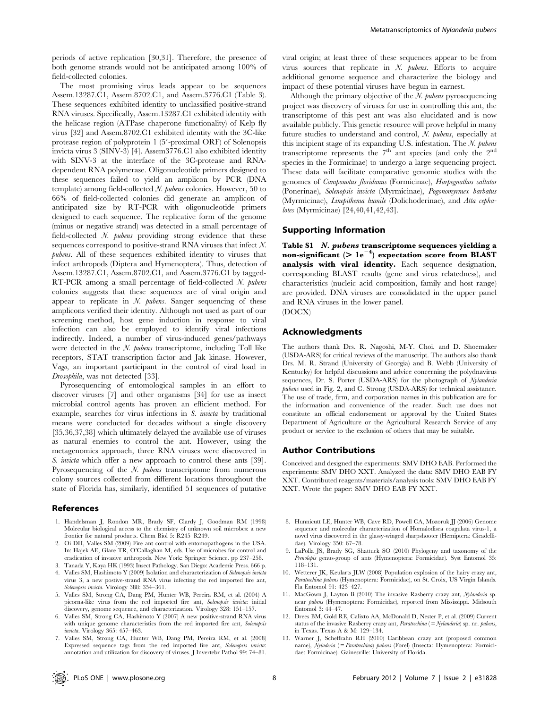periods of active replication [30,31]. Therefore, the presence of both genome strands would not be anticipated among 100% of field-collected colonies.

The most promising virus leads appear to be sequences Assem.13287.C1, Assem.8702.C1, and Assem.3776.C1 (Table 3). These sequences exhibited identity to unclassified positive-strand RNA viruses. Specifically, Assem.13287.C1 exhibited identity with the helicase region (ATPase chaperone functionality) of Kelp fly virus [32] and Assem.8702.C1 exhibited identity with the 3C-like protease region of polyprotein 1 (5'-proximal ORF) of Solenopsis invicta virus 3 (SINV-3) [4]. Assem3776.C1 also exhibited identity with SINV-3 at the interface of the 3C-protease and RNAdependent RNA polymerase. Oligonucleotide primers designed to these sequences failed to yield an amplicon by PCR (DNA template) among field-collected N. pubens colonies. However, 50 to 66% of field-collected colonies did generate an amplicon of anticipated size by RT-PCR with oligonucleotide primers designed to each sequence. The replicative form of the genome (minus or negative strand) was detected in a small percentage of field-collected N. pubens providing strong evidence that these sequences correspond to positive-strand RNA viruses that infect N. pubens. All of these sequences exhibited identity to viruses that infect arthropods (Diptera and Hymenoptera). Thus, detection of Assem.13287.C1, Assem.8702.C1, and Assem.3776.C1 by tagged-RT-PCR among a small percentage of field-collected N. pubens colonies suggests that these sequences are of viral origin and appear to replicate in  $N$ . pubens. Sanger sequencing of these amplicons verified their identity. Although not used as part of our screening method, host gene induction in response to viral infection can also be employed to identify viral infections indirectly. Indeed, a number of virus-induced genes/pathways were detected in the N. pubens transcriptome, including Toll like receptors, STAT transcription factor and Jak kinase. However, Vago, an important participant in the control of viral load in Drosophila, was not detected [33].

Pyrosequencing of entomological samples in an effort to discover viruses [7] and other organisms [34] for use as insect microbial control agents has proven an efficient method. For example, searches for virus infections in S. invicta by traditional means were conducted for decades without a single discovery [35,36,37,38] which ultimately delayed the available use of viruses as natural enemies to control the ant. However, using the metagenomics approach, three RNA viruses were discovered in S. *invicta* which offer a new approach to control these ants [39]. Pyrosequencing of the N. *pubens* transcriptome from numerous colony sources collected from different locations throughout the state of Florida has, similarly, identified 51 sequences of putative

#### References

- 1. Handelsman J, Rondon MR, Brady SF, Clardy J, Goodman RM (1998) Molecular biological access to the chemistry of unknown soil microbes: a new frontier for natural products. Chem Biol 5: R245–R249.
- 2. Oi DH, Valles SM (2009) Fire ant control with entomopathogens in the USA. In: Hajek AE, Glare TR, O'Callaghan M, eds. Use of microbes for control and eradication of invasive arthropods. New York: Springer Science. pp 237–258.
- 3. Tanada Y, Kaya HK (1993) Insect Pathology. San Diego: Academic Press. 666 p.
- 4. Valles SM, Hashimoto Y (2009) Isolation and characterization of Solenopsis invicta virus 3, a new postive-strand RNA virus infecting the red imported fire ant, Solenopsis invicta. Virology 388: 354–361.
- 5. Valles SM, Strong CA, Dang PM, Hunter WB, Pereira RM, et al. (2004) A picorna-like virus from the red imported fire ant, Solenopsis invicta: initial discovery, genome sequence, and characterization. Virology 328: 151–157.
- 6. Valles SM, Strong CA, Hashimoto Y (2007) A new positive-strand RNA virus with unique genome characteristics from the red imported fire ant, Solenopsis invicta. Virology 365: 457–463.
- 7. Valles SM, Strong CA, Hunter WB, Dang PM, Pereira RM, et al. (2008) Expressed sequence tags from the red imported fire ant, Solenopsis invicta: annotation and utilization for discovery of viruses. J Invertebr Pathol 99: 74–81.

viral origin; at least three of these sequences appear to be from virus sources that replicate in  $N$ . pubens. Efforts to acquire additional genome sequence and characterize the biology and impact of these potential viruses have begun in earnest.

Although the primary objective of the  $N$ . pubens pyrosequencing project was discovery of viruses for use in controlling this ant, the transcriptome of this pest ant was also elucidated and is now available publicly. This genetic resource will prove helpful in many future studies to understand and control, N. pubens, especially at this incipient stage of its expanding U.S. infestation. The  $N$ . pubens transcriptome represents the  $7<sup>th</sup>$  ant species (and only the  $2<sup>nd</sup>$ species in the Formicinae) to undergo a large sequencing project. These data will facilitate comparative genomic studies with the genomes of Camponotus floridanus (Formicinae), Harpegnathos saltator (Ponerinae), Solenopsis invicta (Myrmicinae), Pogonomyrmex barbatus (Myrmicinae), Linepithema humile (Dolichoderinae), and Atta cephalotes (Myrmicinae) [24,40,41,42,43].

#### Supporting Information

Table S1 N. pubens transcriptome sequences yielding a non-significant  $(>1e^{-4})$  expectation score from BLAST analysis with viral identity. Each sequence designation, corresponding BLAST results (gene and virus relatedness), and characteristics (nucleic acid composition, family and host range) are provided. DNA viruses are consolidated in the upper panel and RNA viruses in the lower panel. (DOCX)

#### Acknowledgments

The authors thank Drs. R. Nagoshi, M-Y. Choi, and D. Shoemaker (USDA-ARS) for critical reviews of the manuscript. The authors also thank Drs. M. R. Strand (University of Georgia) and B. Webb (University of Kentucky) for helpful discussions and advice concerning the polydnavirus sequences, Dr. S. Porter (USDA-ARS) for the photograph of Nylanderia pubens used in Fig. 2, and C. Strong (USDA-ARS) for technical assistance. The use of trade, firm, and corporation names in this publication are for the information and convenience of the reader. Such use does not constitute an official endorsement or approval by the United States Department of Agriculture or the Agricultural Research Service of any product or service to the exclusion of others that may be suitable.

#### Author Contributions

Conceived and designed the experiments: SMV DHO EAB. Performed the experiments: SMV DHO XXT. Analyzed the data: SMV DHO EAB FY XXT. Contributed reagents/materials/analysis tools: SMV DHO EAB FY XXT. Wrote the paper: SMV DHO EAB FY XXT.

- 8. Hunnicutt LE, Hunter WB, Cave RD, Powell CA, Mozoruk JJ (2006) Genome sequence and molecular characterization of Homalodisca coagulata virus-1, a novel virus discovered in the glassy-winged sharpshooter (Hemiptera: Cicadellidae). Virology 350: 67–78.
- 9. LaPolla JS, Brady SG, Shattuck SO (2010) Phylogeny and taxonomy of the Prenolepis genus-group of ants (Hymenoptera: Formicidae). Syst Entomol 35: 118–131.
- 10. Wetterer JK, Keularts JLW (2008) Population explosion of the hairy crazy ant, Paratrechina pubens (Hymenoptera: Formicidae), on St. Croix, US Virgin Islands. Fla Entomol 91: 423–427.
- 11. MacGown J, Layton B (2010) The invasive Rasberry crazy ant, Nylanderia sp. near pubens (Hymenoptera: Formicidae), reported from Mississippi. Midsouth Entomol 3: 44–47.
- 12. Drees BM, Gold RE, Calixto AA, McDonald D, Nester P, et al. (2009) Current status of the invasive Rasberry crazy ant, Paratrechina  $( = Nylanderia)$  sp. nr. pubens, in Texas. Texas A & M: 129–134.
- 13. Warner J, Scheffrahn RH (2010) Caribbean crazy ant (proposed common name), Nyladeria (= Paratrechina) pubens (Forel) (Insecta: Hymenoptera: Formicidae: Formicinae). Gainesville: University of Florida.